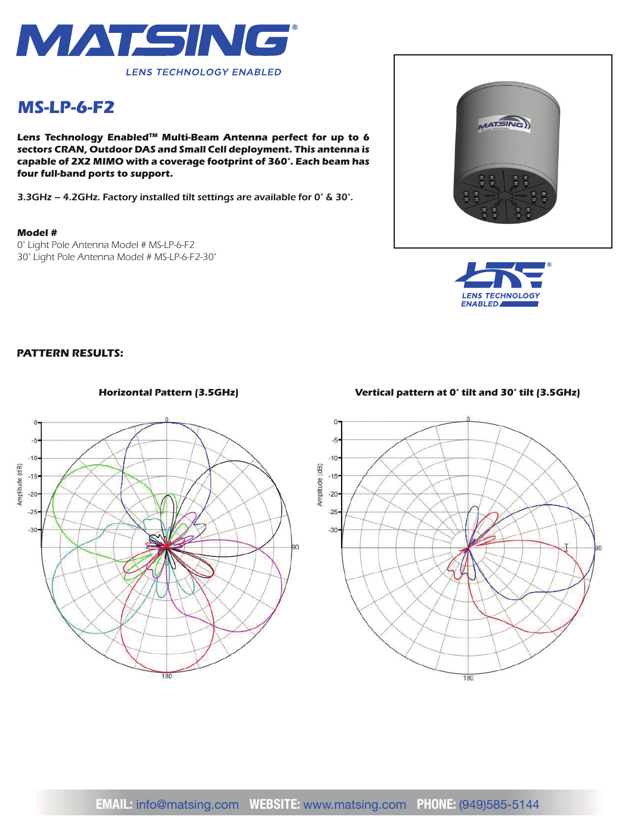

# *MS-LP-6-F2*

*Lens Technology EnabledTM Multi-Beam Antenna perfect for up to 6 sectors CRAN, Outdoor DAS and Small Cell deployment. This antenna is capable of 2X2 MIMO with a coverage footprint of 360°. Each beam has four full-band ports to support.*

*3.3GHz – 4.2GHz. Factory installed tilt settings are available for 0° & 30°.*

#### *Model #*

*0° Light Pole Antenna Model # MS-LP-6-F2 30° Light Pole Antenna Model # MS-LP-6-F2-30°*





## *PATTERN RESULTS:*



## *Horizontal Pattern (3.5GHz) Vertical pattern at 0° tilt and 30° tilt (3.5GHz)*